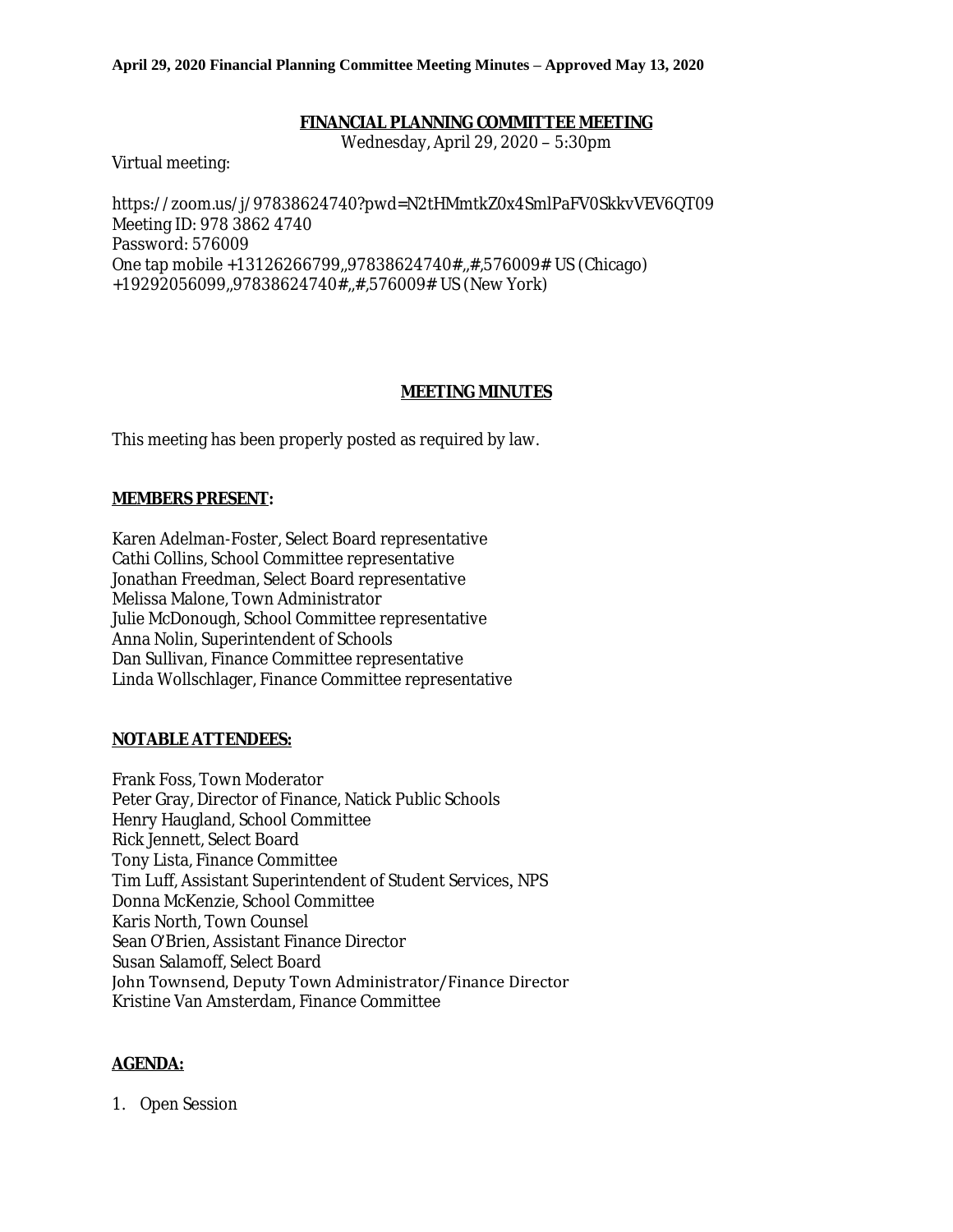## **FINANCIAL PLANNING COMMITTEE MEETING**

Wednesday, April 29, 2020 – 5:30pm

Virtual meeting:

https://zoom.us/j/97838624740?pwd=N2tHMmtkZ0x4SmlPaFV0SkkvVEV6QT09 Meeting ID: 978 3862 4740 Password: 576009 One tap mobile +13126266799,,97838624740#,,#,576009# US (Chicago) +19292056099,,97838624740#,,#,576009# US (New York)

## **MEETING MINUTES**

This meeting has been properly posted as required by law.

## **MEMBERS PRESENT:**

Karen Adelman-Foster, Select Board representative Cathi Collins, School Committee representative Jonathan Freedman, Select Board representative Melissa Malone, Town Administrator Julie McDonough, School Committee representative Anna Nolin, Superintendent of Schools Dan Sullivan, Finance Committee representative Linda Wollschlager, Finance Committee representative

## **NOTABLE ATTENDEES:**

Frank Foss, Town Moderator Peter Gray, Director of Finance, Natick Public Schools Henry Haugland, School Committee Rick Jennett, Select Board Tony Lista, Finance Committee Tim Luff, Assistant Superintendent of Student Services, NPS Donna McKenzie, School Committee Karis North, Town Counsel Sean O'Brien, Assistant Finance Director Susan Salamoff, Select Board John Townsend, Deputy Town Administrator/Finance Director Kristine Van Amsterdam, Finance Committee

## **AGENDA:**

1. Open Session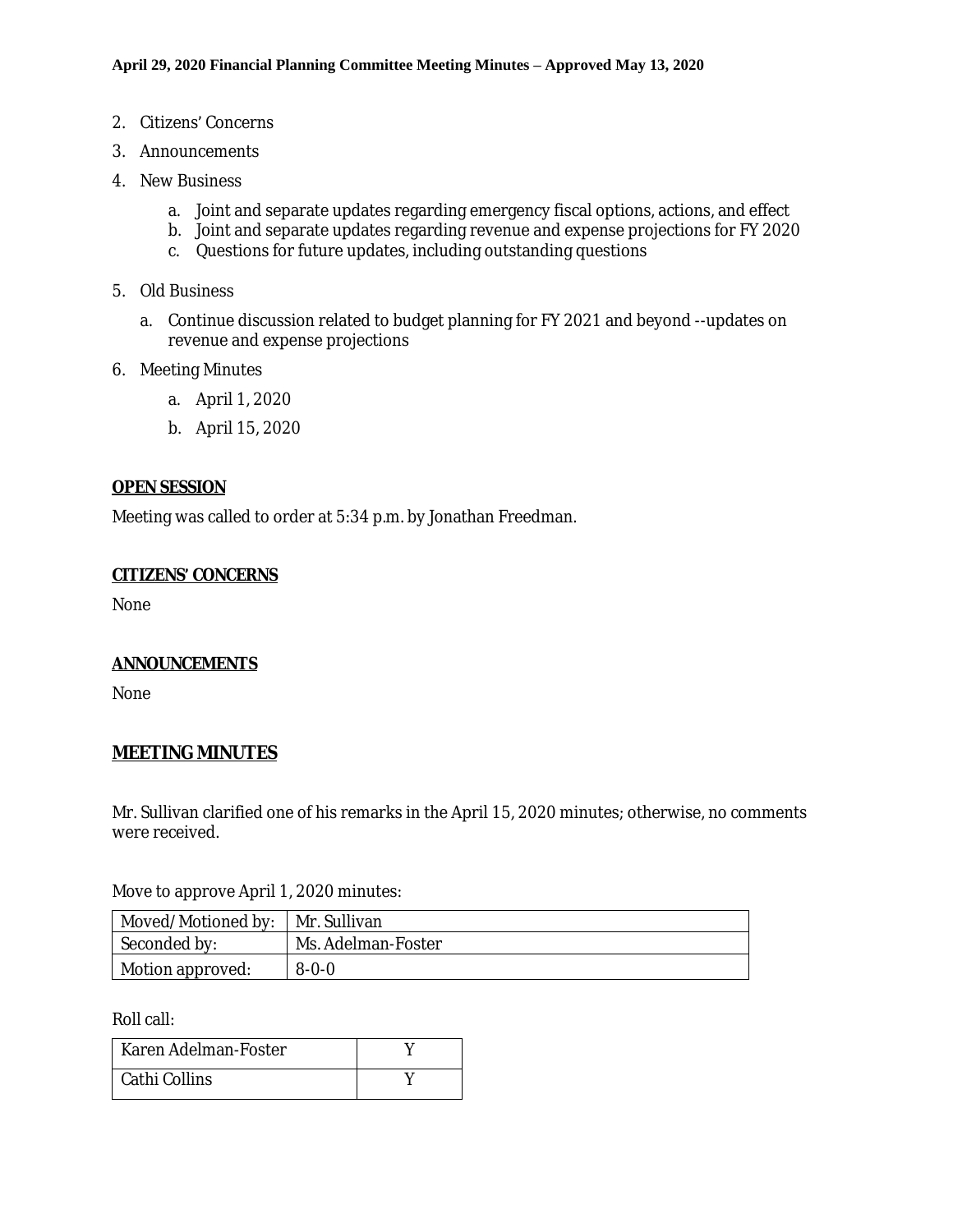- 2. Citizens' Concerns
- 3. Announcements
- 4. New Business
	- a. Joint and separate updates regarding emergency fiscal options, actions, and effect
	- b. Joint and separate updates regarding revenue and expense projections for FY 2020
	- c. Questions for future updates, including outstanding questions
- 5. Old Business
	- a. Continue discussion related to budget planning for FY 2021 and beyond --updates on revenue and expense projections
- 6. Meeting Minutes
	- a. April 1, 2020
	- b. April 15, 2020

## **OPEN SESSION**

Meeting was called to order at 5:34 p.m. by Jonathan Freedman.

## **CITIZENS' CONCERNS**

None

## **ANNOUNCEMENTS**

None

## **MEETING MINUTES**

Mr. Sullivan clarified one of his remarks in the April 15, 2020 minutes; otherwise, no comments were received.

Move to approve April 1, 2020 minutes:

| Moved/Motioned by:   Mr. Sullivan |                    |  |  |
|-----------------------------------|--------------------|--|--|
| Seconded by:                      | Ms. Adelman-Foster |  |  |
| $\perp$ Motion approved:          | $8 - 0 - 0$        |  |  |

Roll call:

| Karen Adelman-Foster |  |
|----------------------|--|
| Cathi Collins        |  |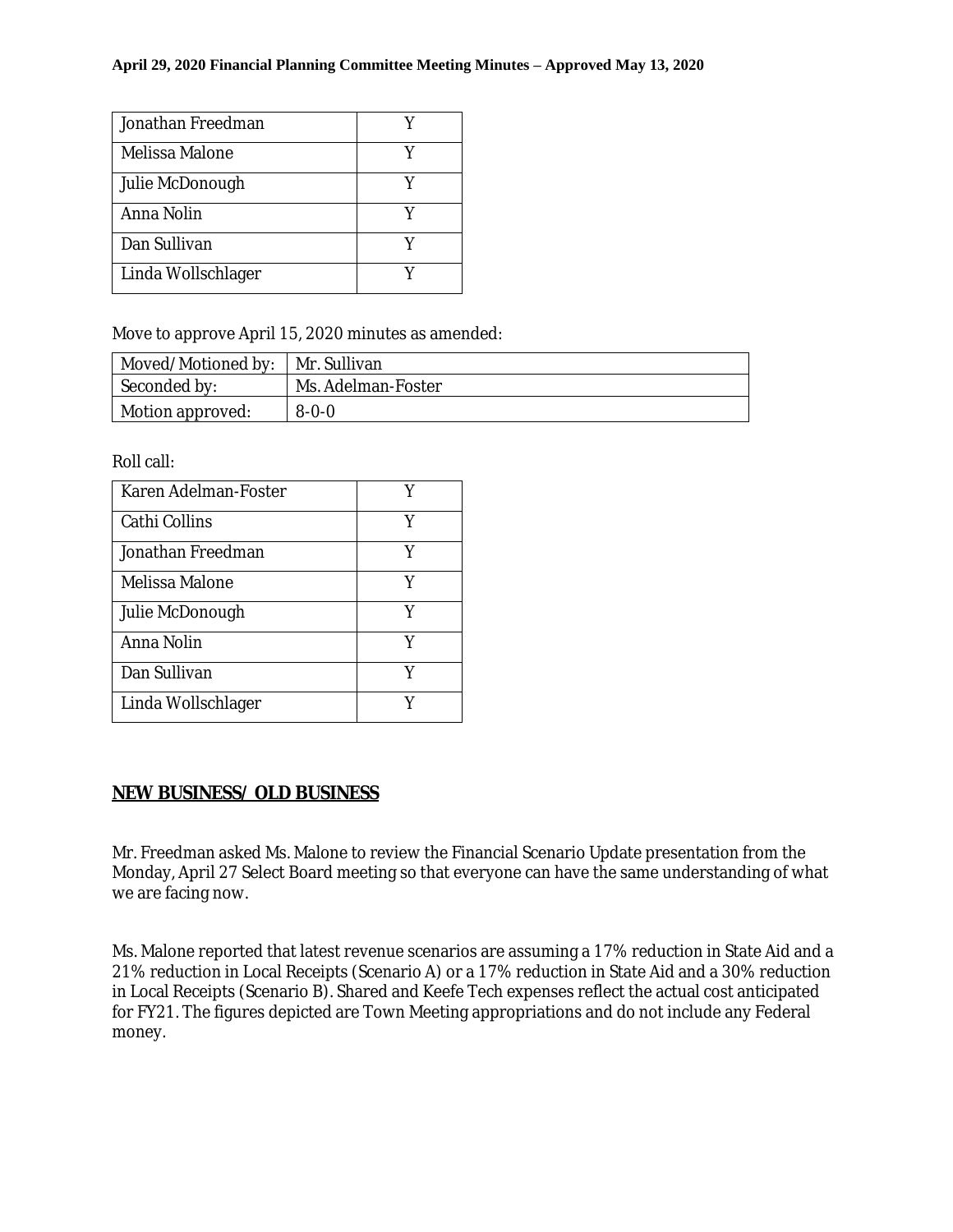| Jonathan Freedman  |  |
|--------------------|--|
| Melissa Malone     |  |
| Julie McDonough    |  |
| Anna Nolin         |  |
| Dan Sullivan       |  |
| Linda Wollschlager |  |

Move to approve April 15, 2020 minutes as amended:

| Moved/Motioned by:   Mr. Sullivan |                    |
|-----------------------------------|--------------------|
| Seconded by:                      | Ms. Adelman-Foster |
| Motion approved:                  | $8 - 0 - 0$        |

Roll call:

| Karen Adelman-Foster | Y |
|----------------------|---|
| Cathi Collins        | Y |
| Jonathan Freedman    | Y |
| Melissa Malone       | Y |
| Julie McDonough      | Y |
| Anna Nolin           | Y |
| Dan Sullivan         | Y |
| Linda Wollschlager   |   |

# **NEW BUSINESS/ OLD BUSINESS**

Mr. Freedman asked Ms. Malone to review the Financial Scenario Update presentation from the Monday, April 27 Select Board meeting so that everyone can have the same understanding of what we are facing now.

Ms. Malone reported that latest revenue scenarios are assuming a 17% reduction in State Aid and a 21% reduction in Local Receipts (Scenario A) or a 17% reduction in State Aid and a 30% reduction in Local Receipts (Scenario B). Shared and Keefe Tech expenses reflect the actual cost anticipated for FY21. The figures depicted are Town Meeting appropriations and do not include any Federal money.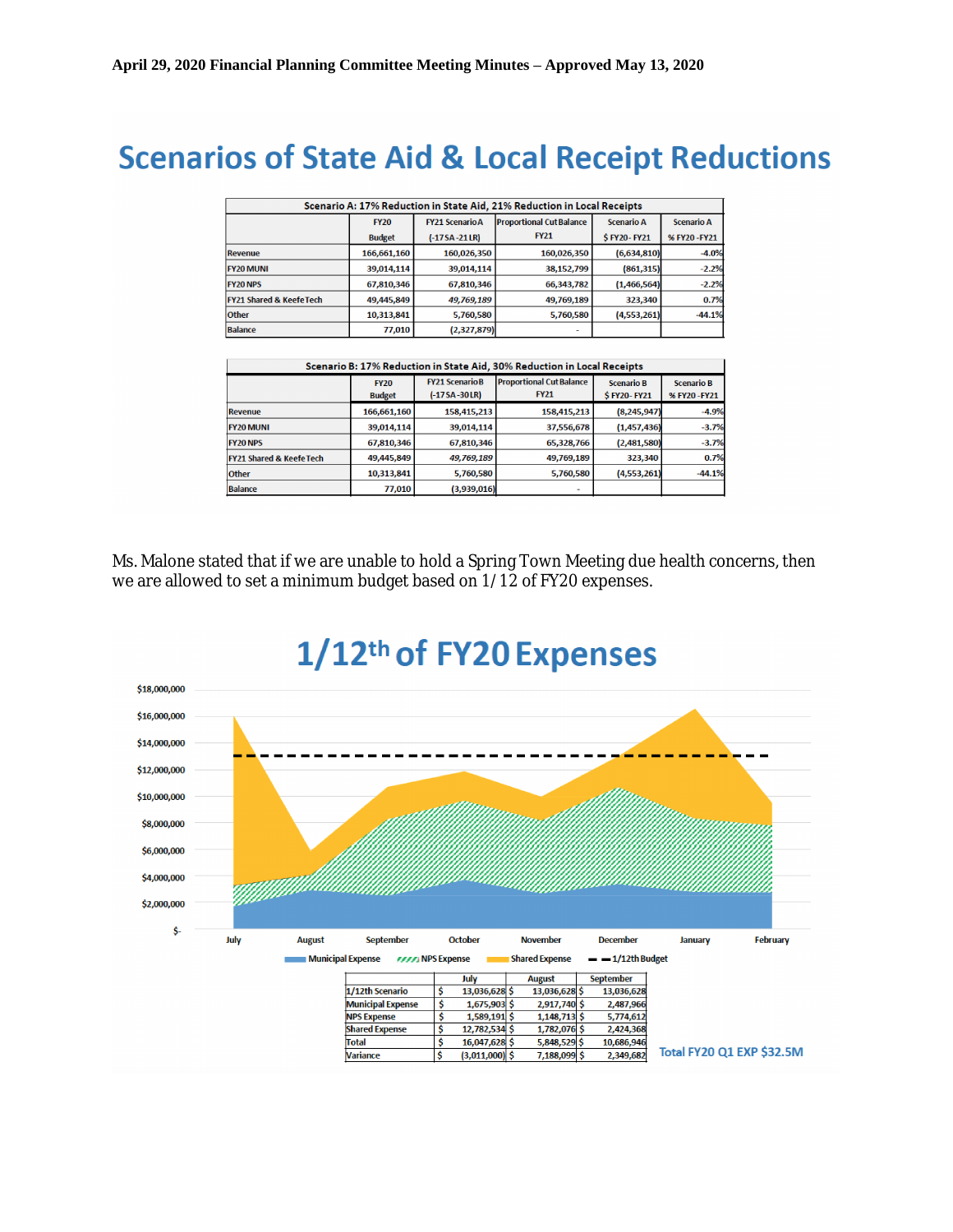# **Scenarios of State Aid & Local Receipt Reductions**

| Scenario A: 17% Reduction in State Aid, 21% Reduction in Local Receipts |               |                        |                                 |                   |                   |
|-------------------------------------------------------------------------|---------------|------------------------|---------------------------------|-------------------|-------------------|
|                                                                         | <b>FY20</b>   | <b>FY21 Scenario A</b> | <b>Proportional Cut Balance</b> | <b>Scenario A</b> | <b>Scenario A</b> |
|                                                                         | <b>Budget</b> | $(-17SA-21LR)$         | <b>FY21</b>                     | \$FY20-FY21       | % FY20-FY21       |
| Revenue                                                                 | 166,661,160   | 160,026,350            | 160,026,350                     | (6,634,810)       | $-4.0%$           |
| <b>FY20 MUNI</b>                                                        | 39,014,114    | 39,014,114             | 38,152,799                      | (861, 315)        | $-2.2%$           |
| <b>FY20 NPS</b>                                                         | 67,810,346    | 67,810,346             | 66,343,782                      | (1,466,564)       | $-2.2%$           |
| <b>FY21 Shared &amp; Keefe Tech</b>                                     | 49,445,849    | 49,769,189             | 49,769,189                      | 323.340           | 0.7%              |
| <b>Other</b>                                                            | 10,313,841    | 5,760,580              | 5,760,580                       | (4,553,261)       | $-44.1%$          |
| <b>Balance</b>                                                          | 77,010        | (2,327,879)            |                                 |                   |                   |

| Scenario B: 17% Reduction in State Aid, 30% Reduction in Local Receipts |               |                       |                                 |                    |                   |
|-------------------------------------------------------------------------|---------------|-----------------------|---------------------------------|--------------------|-------------------|
|                                                                         | <b>FY20</b>   | <b>FY21 ScenarioB</b> | <b>Proportional Cut Balance</b> | <b>Scenario B</b>  | <b>Scenario B</b> |
|                                                                         | <b>Budget</b> | $(-17 S A - 30 LR)$   | <b>FY21</b>                     | <b>\$FY20-FY21</b> | % FY20 - FY21     |
| <b>Revenue</b>                                                          | 166,661,160   | 158,415,213           | 158,415,213                     | (8, 245, 947)      | $-4.9%$           |
| <b>FY20 MUNI</b>                                                        | 39,014,114    | 39,014,114            | 37,556,678                      | (1,457,436)        | $-3.7%$           |
| <b>FY20 NPS</b>                                                         | 67,810,346    | 67,810,346            | 65,328,766                      | (2,481,580)        | $-3.7%$           |
| <b>FY21 Shared &amp; Keefe Tech</b>                                     | 49,445,849    | 49,769,189            | 49,769,189                      | 323,340            | 0.7%              |
| <b>Other</b>                                                            | 10,313,841    | 5,760,580             | 5,760,580                       | (4,553,261)        | $-44.1%$          |
| <b>Balance</b>                                                          | 77,010        | (3,939,016)           |                                 |                    |                   |

Ms. Malone stated that if we are unable to hold a Spring Town Meeting due health concerns, then we are allowed to set a minimum budget based on 1/12 of FY20 expenses.

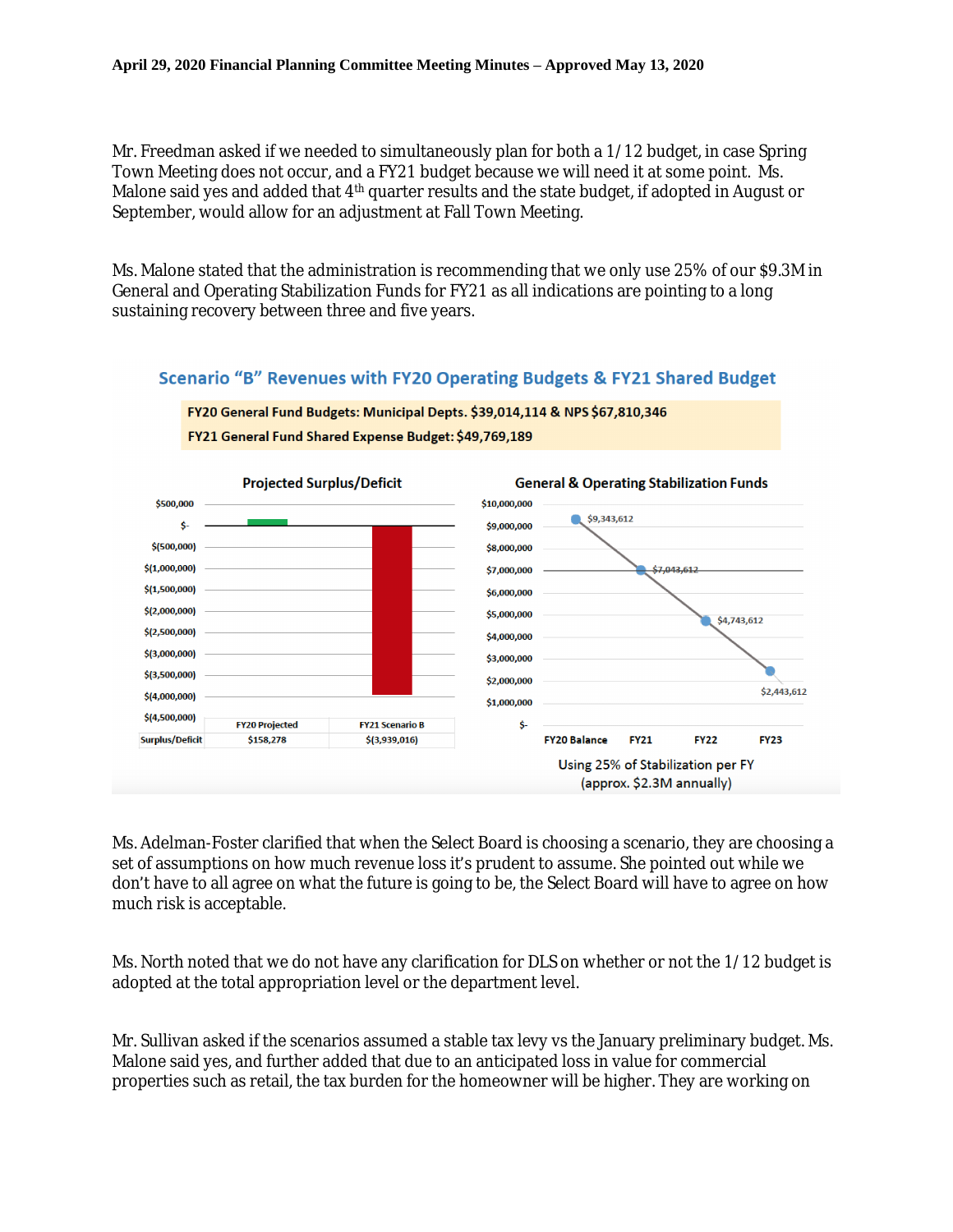Mr. Freedman asked if we needed to simultaneously plan for both a 1/12 budget, in case Spring Town Meeting does not occur, and a FY21 budget because we will need it at some point. Ms. Malone said yes and added that 4<sup>th</sup> quarter results and the state budget, if adopted in August or September, would allow for an adjustment at Fall Town Meeting.

Ms. Malone stated that the administration is recommending that we only use 25% of our \$9.3M in General and Operating Stabilization Funds for FY21 as all indications are pointing to a long sustaining recovery between three and five years.

# Scenario "B" Revenues with FY20 Operating Budgets & FY21 Shared Budget





Ms. Adelman-Foster clarified that when the Select Board is choosing a scenario, they are choosing a set of assumptions on how much revenue loss it's prudent to assume. She pointed out while we don't have to all agree on what the future is going to be, the Select Board will have to agree on how much risk is acceptable.

Ms. North noted that we do not have any clarification for DLS on whether or not the 1/12 budget is adopted at the total appropriation level or the department level.

Mr. Sullivan asked if the scenarios assumed a stable tax levy vs the January preliminary budget. Ms. Malone said yes, and further added that due to an anticipated loss in value for commercial properties such as retail, the tax burden for the homeowner will be higher. They are working on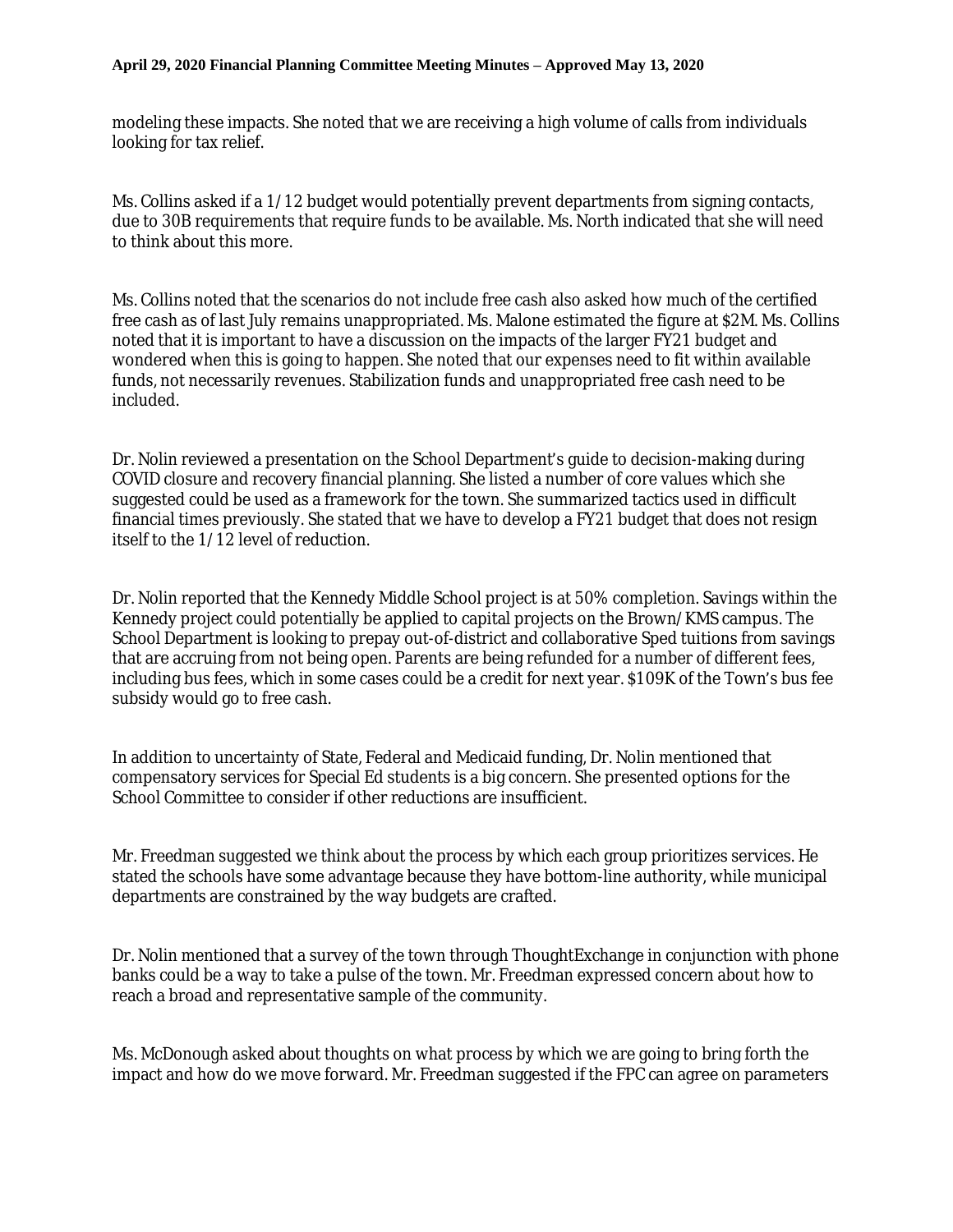modeling these impacts. She noted that we are receiving a high volume of calls from individuals looking for tax relief.

Ms. Collins asked if a 1/12 budget would potentially prevent departments from signing contacts, due to 30B requirements that require funds to be available. Ms. North indicated that she will need to think about this more.

Ms. Collins noted that the scenarios do not include free cash also asked how much of the certified free cash as of last July remains unappropriated. Ms. Malone estimated the figure at \$2M. Ms. Collins noted that it is important to have a discussion on the impacts of the larger FY21 budget and wondered when this is going to happen. She noted that our expenses need to fit within available funds, not necessarily revenues. Stabilization funds and unappropriated free cash need to be included.

Dr. Nolin reviewed a presentation on the School Department's guide to decision-making during COVID closure and recovery financial planning. She listed a number of core values which she suggested could be used as a framework for the town. She summarized tactics used in difficult financial times previously. She stated that we have to develop a FY21 budget that does not resign itself to the 1/12 level of reduction.

Dr. Nolin reported that the Kennedy Middle School project is at 50% completion. Savings within the Kennedy project could potentially be applied to capital projects on the Brown/KMS campus. The School Department is looking to prepay out-of-district and collaborative Sped tuitions from savings that are accruing from not being open. Parents are being refunded for a number of different fees, including bus fees, which in some cases could be a credit for next year. \$109K of the Town's bus fee subsidy would go to free cash.

In addition to uncertainty of State, Federal and Medicaid funding, Dr. Nolin mentioned that compensatory services for Special Ed students is a big concern. She presented options for the School Committee to consider if other reductions are insufficient.

Mr. Freedman suggested we think about the process by which each group prioritizes services. He stated the schools have some advantage because they have bottom-line authority, while municipal departments are constrained by the way budgets are crafted.

Dr. Nolin mentioned that a survey of the town through ThoughtExchange in conjunction with phone banks could be a way to take a pulse of the town. Mr. Freedman expressed concern about how to reach a broad and representative sample of the community.

Ms. McDonough asked about thoughts on what process by which we are going to bring forth the impact and how do we move forward. Mr. Freedman suggested if the FPC can agree on parameters